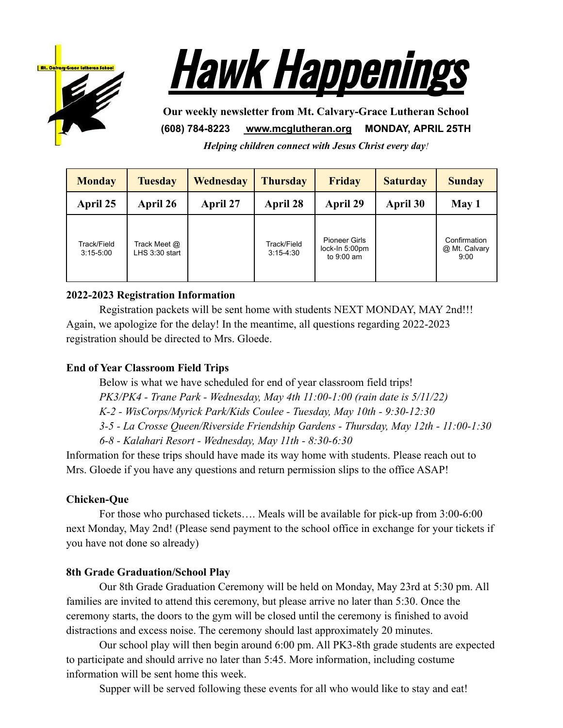



**Our weekly newsletter from Mt. Calvary-Grace Lutheran School (608) 784-8223 [www.mcglutheran.org](http://www.mcglutheran.org/) MONDAY, APRIL 25TH**

*Helping children connect with Jesus Christ every day!*

| <b>Monday</b>                | <b>Tuesday</b>                   | Wednesday | <b>Thursday</b>              | <b>Friday</b>                                          | <b>Saturday</b> | <b>Sunday</b>                         |
|------------------------------|----------------------------------|-----------|------------------------------|--------------------------------------------------------|-----------------|---------------------------------------|
| April 25                     | April 26                         | April 27  | April 28                     | April 29                                               | April 30        | May 1                                 |
| Track/Field<br>$3:15 - 5:00$ | Track Meet @<br>$LHS$ 3:30 start |           | Track/Field<br>$3:15 - 4:30$ | <b>Pioneer Girls</b><br>lock-In 5:00pm<br>to $9:00$ am |                 | Confirmation<br>@ Mt. Calvary<br>9:00 |

## **2022-2023 Registration Information**

Registration packets will be sent home with students NEXT MONDAY, MAY 2nd!!! Again, we apologize for the delay! In the meantime, all questions regarding 2022-2023 registration should be directed to Mrs. Gloede.

## **End of Year Classroom Field Trips**

Below is what we have scheduled for end of year classroom field trips!

*PK3/PK4 - Trane Park - Wednesday, May 4th 11:00-1:00 (rain date is 5/11/22)*

*K-2 - WisCorps/Myrick Park/Kids Coulee - Tuesday, May 10th - 9:30-12:30*

*3-5 - La Crosse Queen/Riverside Friendship Gardens - Thursday, May 12th - 11:00-1:30*

*6-8 - Kalahari Resort - Wednesday, May 11th - 8:30-6:30*

Information for these trips should have made its way home with students. Please reach out to Mrs. Gloede if you have any questions and return permission slips to the office ASAP!

# **Chicken-Que**

For those who purchased tickets…. Meals will be available for pick-up from 3:00-6:00 next Monday, May 2nd! (Please send payment to the school office in exchange for your tickets if you have not done so already)

# **8th Grade Graduation/School Play**

Our 8th Grade Graduation Ceremony will be held on Monday, May 23rd at 5:30 pm. All families are invited to attend this ceremony, but please arrive no later than 5:30. Once the ceremony starts, the doors to the gym will be closed until the ceremony is finished to avoid distractions and excess noise. The ceremony should last approximately 20 minutes.

Our school play will then begin around 6:00 pm. All PK3-8th grade students are expected to participate and should arrive no later than 5:45. More information, including costume information will be sent home this week.

Supper will be served following these events for all who would like to stay and eat!